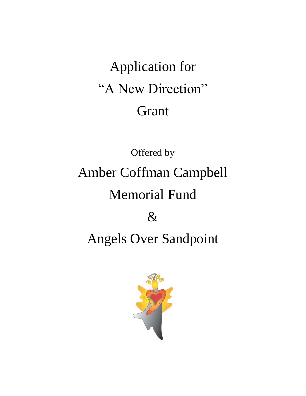## Application for "A New Direction" Grant

# Offered by Amber Coffman Campbell Memorial Fund  $\&$ Angels Over Sandpoint

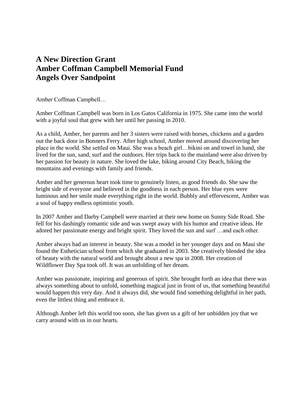## **A New Direction Grant Amber Coffman Campbell Memorial Fund Angels Over Sandpoint**

Amber Coffman Campbell…

Amber Coffman Campbell was born in Los Gatos California in 1975. She came into the world with a joyful soul that grew with her until her passing in 2010.

As a child, Amber, her parents and her 3 sisters were raised with horses, chickens and a garden out the back door in Bonners Ferry. After high school, Amber moved around discovering her place in the world. She settled on Maui. She was a beach girl…bikini on and towel in hand, she lived for the sun, sand, surf and the outdoors. Her trips back to the mainland were also driven by her passion for beauty in nature. She loved the lake, biking around City Beach, hiking the mountains and evenings with family and friends.

Amber and her generous heart took time to genuinely listen, as good friends do. She saw the bright side of everyone and believed in the goodness in each person. Her blue eyes were luminous and her smile made everything right in the world. Bubbly and effervescent, Amber was a soul of happy endless optimistic youth.

In 2007 Amber and Darby Campbell were married at their new home on Sunny Side Road. She fell for his dashingly romantic side and was swept away with his humor and creative ideas. He adored her passionate energy and bright spirit. They loved the sun and surf …and each other.

Amber always had an interest in beauty. She was a model in her younger days and on Maui she found the Esthetician school from which she graduated in 2003. She creatively blended the idea of beauty with the natural world and brought about a new spa in 2008. Her creation of Wildflower Day Spa took off. It was an unfolding of her dream.

Amber was passionate, inspiring and generous of spirit. She brought forth an idea that there was always something about to unfold, something magical just in front of us, that something beautiful would happen this very day. And it always did, she would find something delightful in her path, even the littlest thing and embrace it.

Although Amber left this world too soon, she has given us a gift of her unbidden joy that we carry around with us in our hearts.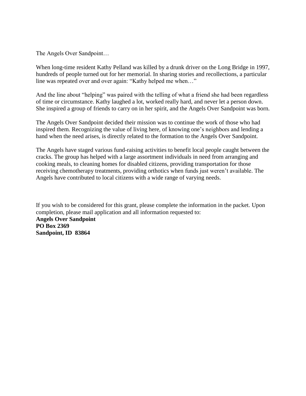The Angels Over Sandpoint…

When long-time resident Kathy Pelland was killed by a drunk driver on the Long Bridge in 1997, hundreds of people turned out for her memorial. In sharing stories and recollections, a particular line was repeated over and over again: "Kathy helped me when…"

And the line about "helping" was paired with the telling of what a friend she had been regardless of time or circumstance. Kathy laughed a lot, worked really hard, and never let a person down. She inspired a group of friends to carry on in her spirit, and the Angels Over Sandpoint was born.

The Angels Over Sandpoint decided their mission was to continue the work of those who had inspired them. Recognizing the value of living here, of knowing one's neighbors and lending a hand when the need arises, is directly related to the formation to the Angels Over Sandpoint.

The Angels have staged various fund-raising activities to benefit local people caught between the cracks. The group has helped with a large assortment individuals in need from arranging and cooking meals, to cleaning homes for disabled citizens, providing transportation for those receiving chemotherapy treatments, providing orthotics when funds just weren't available. The Angels have contributed to local citizens with a wide range of varying needs.

If you wish to be considered for this grant, please complete the information in the packet. Upon completion, please mail application and all information requested to: **Angels Over Sandpoint PO Box 2369 Sandpoint, ID 83864**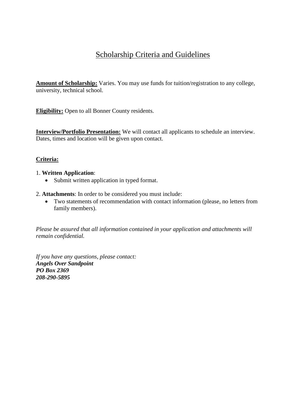## Scholarship Criteria and Guidelines

**Amount of Scholarship:** Varies. You may use funds for tuition/registration to any college, university, technical school.

**Eligibility:** Open to all Bonner County residents.

**Interview/Portfolio Presentation:** We will contact all applicants to schedule an interview. Dates, times and location will be given upon contact.

#### **Criteria:**

#### 1. **Written Application**:

- Submit written application in typed format.
- 2. **Attachments**: In order to be considered you must include:
	- Two statements of recommendation with contact information (please, no letters from family members).

*Please be assured that all information contained in your application and attachments will remain confidential.*

*If you have any questions, please contact: Angels Over Sandpoint PO Box 2369 208-290-5895*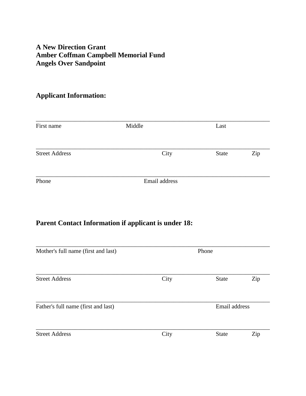### **A New Direction Grant Amber Coffman Campbell Memorial Fund Angels Over Sandpoint**

## **Applicant Information:**

| First name            | Middle        | Last         |     |
|-----------------------|---------------|--------------|-----|
| <b>Street Address</b> | City          | <b>State</b> | Zip |
| Phone                 | Email address |              |     |

## **Parent Contact Information if applicant is under 18:**

| Mother's full name (first and last) | Phone |              |               |  |
|-------------------------------------|-------|--------------|---------------|--|
| <b>Street Address</b>               | City  | <b>State</b> | Zip           |  |
| Father's full name (first and last) |       |              | Email address |  |
| <b>Street Address</b>               | City  | <b>State</b> | Zip           |  |